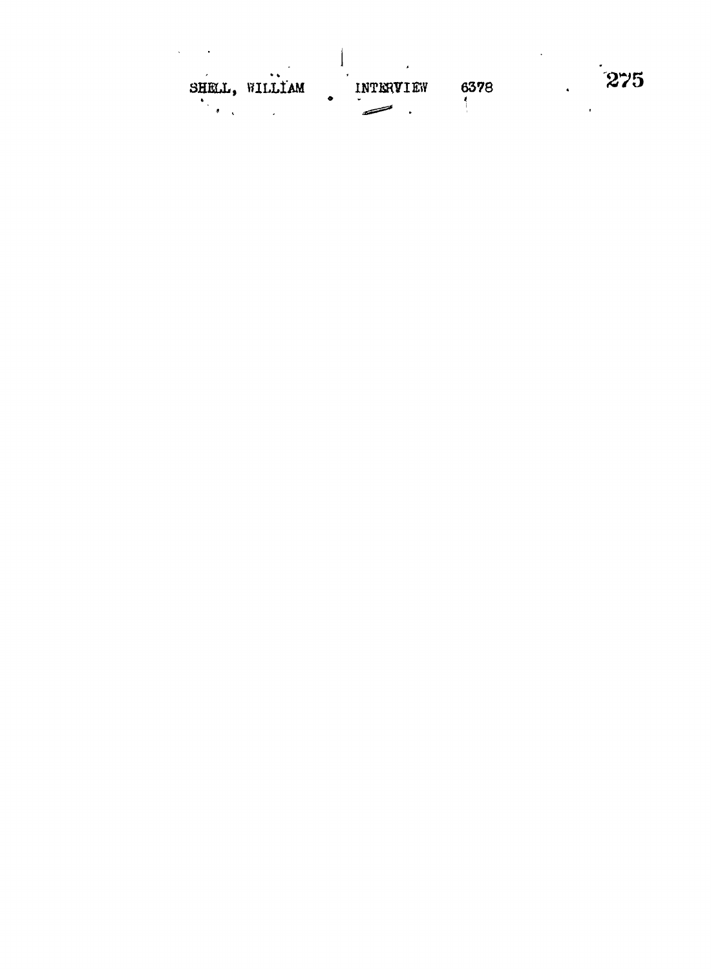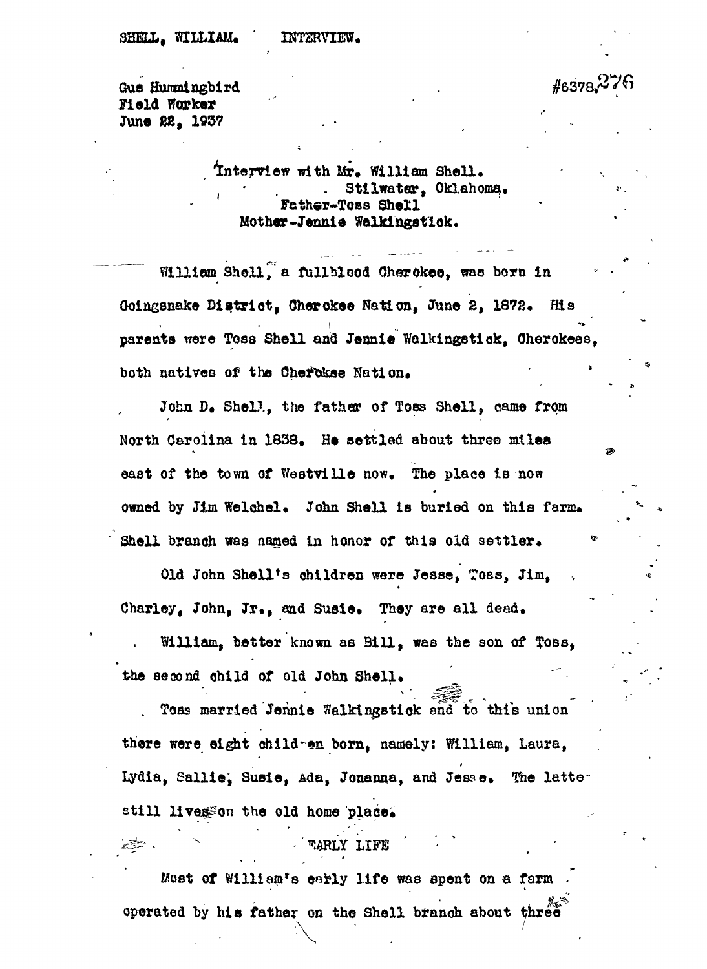**^ \***

Gus Hummingbird  $\#6378$  $*^276$ Field Woorker June 22, 1937

> Interview with Mr. William Shell. Stilwater, Oklahoma. Fathar-Toss Shell Mother-Jennie Walkingstick.

William Shell, a fullblood Cherokee, was born in Goingsnake District, Cherokee Nation, June 2, 1872. His parents were Toss Shell and Jennie Walkingstick, Cherokees. both natives of the Cherokee Nation.

John D. Shell, the father of Toss Shell, came from North Carolina in 1838. He settled about three miles east of the town of Westville now. The place is now owned by Jim Welchel. John Shell is buried on this farm. Shell branch was named in honor of this old settler.

Old John Shell's children were Jesse, Toss, Jim, Charley, John, Jr., and Susie, They are all dead.

William, better known as Bill, was the son of Toss, the second child of old John Shell.

Toss married Jennie Walkingstick and to this union there were eight children born, namely: William, Laura, Lydia, Sallie, Susie, Ada, Jonanna, and Jesse. The latter still livesson the old home place.

#### warly life

Most of William's early life was spent on a farm operated by his father on the Shell branch about three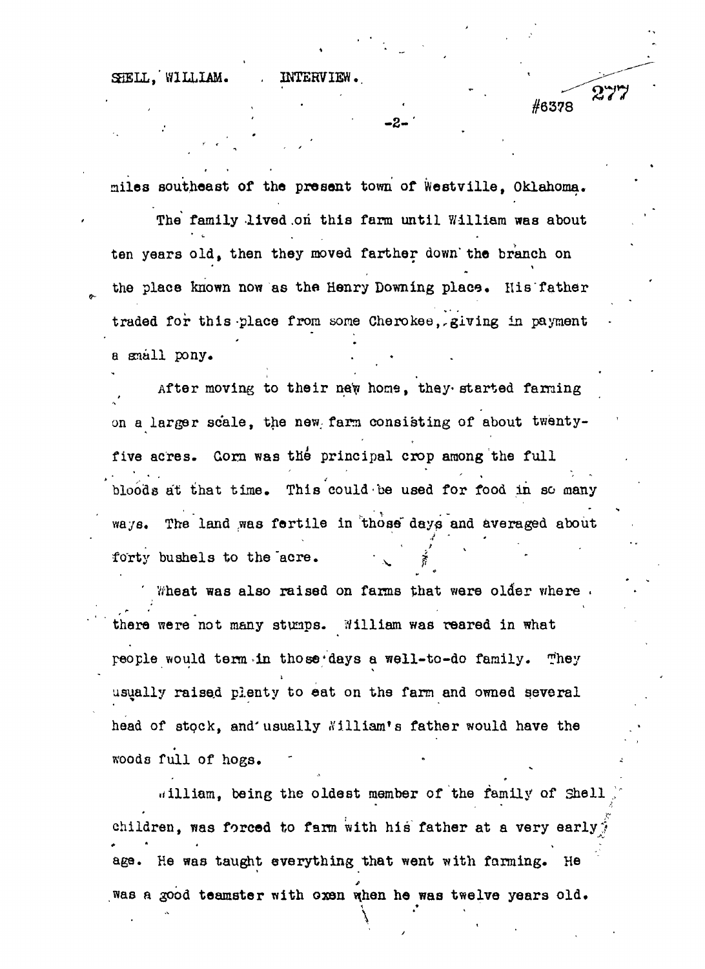SHELL, WILLIAM. . INTERVIEW.

 $\blacksquare$  in a set of  $\blacksquare$ 

#6378

 $277$ 

miles southeast of the present town of Westville, Oklahoma.

 $\overline{\phantom{a}}$  -2-  $\overline{\phantom{a}}$ 

The family lived on this farm until William was about ten years old, then they moved farther down" the branch on the place known now as the Henry Downing place. His father traded for this-place from some Cherokee,,giving in payment a snail pony.

After moving to their new home, they started farming on a larger scale, the new; farm consisting of about twentyfive acres. Gorn was the principal crop among the full bloods at that time. This could be used for food in so many ways. The land was fertile in those days and averaged about forty bushels to the acre.

*'* Wheat was also raised on farms that were oldier where . there were not many stumps. William was reared in what people would term»in those'days a well-to-do family. They  $\sim$  ' V  $\sim$  ' V  $\sim$  ' V  $\sim$  ' V  $\sim$  ' V  $\sim$  ' V  $\sim$  ' V  $\sim$  ' V  $\sim$  ' V  $\sim$  ' V  $\sim$  ' V  $\sim$  ' V  $\sim$  ' V  $\sim$  ' V  $\sim$  ' V  $\sim$  ' V  $\sim$  ' V  $\sim$  ' V  $\sim$  ' V  $\sim$  ' V  $\sim$  ' V  $\sim$  ' V  $\sim$  ' V  $\sim$  ' V  $\sim$  1 usually raised plenty to eat on the farm and owned several head of andox' and namelly wittigm, a farmel would have rue woods full of hogs.

william, being the oldest member of the family of Shell children, was forced to farm with his father at a very early  $\hat{i}$ # \* • > age. He was taught everything that went with farming. He was a good teamster with oxen when he was twelve years old.

**\**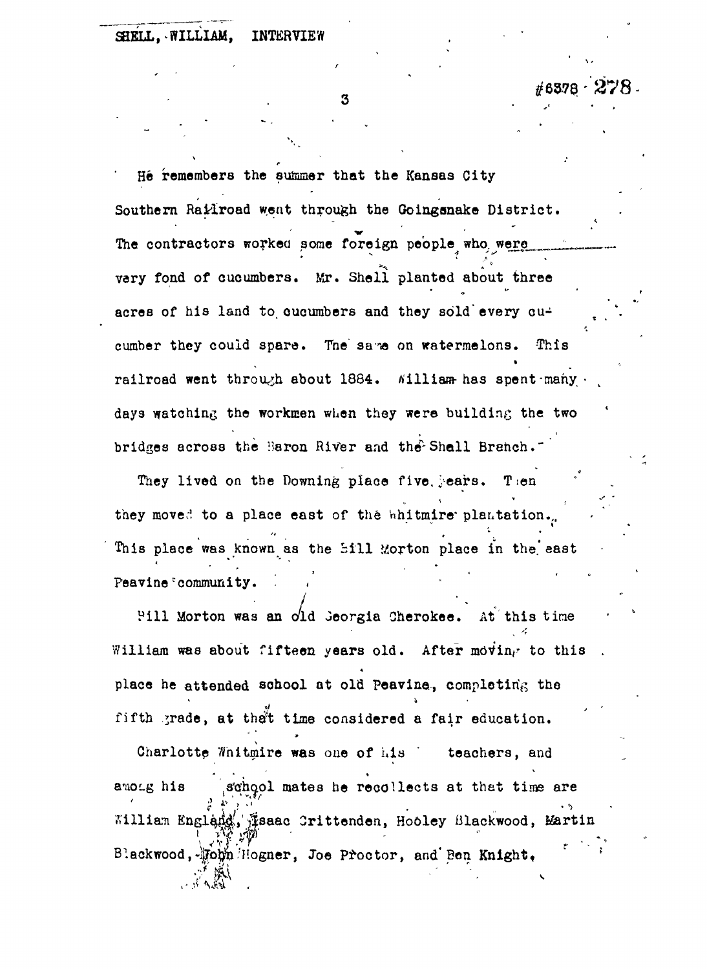3

**#637\$-'278-**

*t*

He remembers the summer that the Kansas City Southern Ratiroad went through the Goingsnake District. The contractors worked some foreign people who were vary fond of cucumbers. Mr. Shell planted about three acres of his land to cucumbers and they sold every cucumber they could spare. The same on watermelons. This railroad went through about 1884. Nilliam has spentemany. days watching the workmen when they were building the two bridges across the Baron River and the Shall Branch.

They lived on the Downing place five jears. Then they moved to a place east of the whitmire plantation. they moved to a plantation of the 'nhitmire' plantation. In the 'nhitmire' plantation. ,  $\frac{1}{2}$ This place was known as the bill Morton place in the bill Morton place in the bill Morton place in the bill Mor

Pill Morton was an old Georgia Cherokee. At this time Pill Morton was an c/ld Jeorgia Cherokee. At this time  $\mathcal{A}$ place he attended school at old Peavine, completing the fifth grade, at that time considered a fair education.

Charlotte Whitmire was one of his teachers, and Charlotte Whitmire was one of his ' teachers, and  $\frac{1}{2}$   $\frac{1}{2}$   $\frac{1}{2}$   $\frac{1}{2}$   $\frac{1}{2}$   $\frac{1}{2}$   $\frac{1}{2}$   $\frac{1}{2}$   $\frac{1}{2}$   $\frac{1}{2}$   $\frac{1}{2}$   $\frac{1}{2}$   $\frac{1}{2}$   $\frac{1}{2}$   $\frac{1}{2}$   $\frac{1}{2}$   $\frac{1}{2}$   $\frac{1}{2}$   $\frac{1}{2}$   $\frac{1}{2}$   $\frac{1}{2}$   $\frac{1}{2}$  William England. Tsaac Crittenden, Hooley Blackwood, Martin  $P:$ ackwood,  $\mathcal{H}$ opn Hogner, Joe Proctor, and Bon Knight,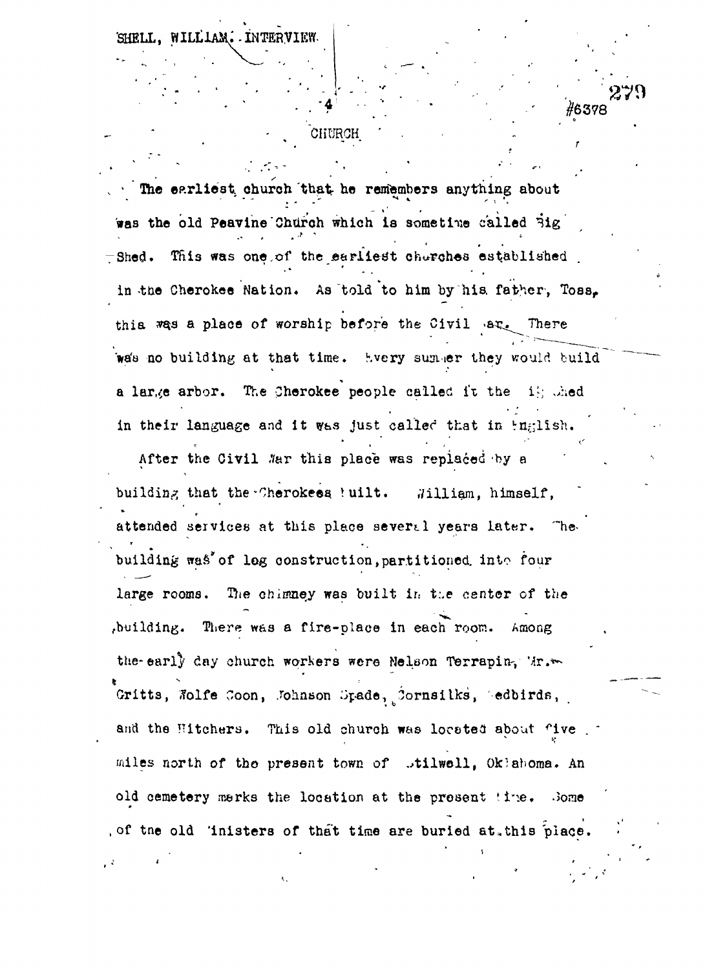WILLIAM. INTERVIEW.

#### **CHURCH**

270

#6378

The earliest church that he remembers anything about was the old Peavine Church which is sometime called Big  $\pm$ Shed. This was one, of the earliest churches established. in the Cherokee Nation. As told to him by his father, Toss. thia was a place of worship before the Civil  $ar_{\epsilon}$  There wa's no building at that time. Every summer they would build a large arbor. The Cherokee people called it the if; thed in their language and it was just called that in Fnglish.

After the Civil .War this place was replaced by a building that the Cherokees ! uilt. , William, himself, attended services at this place several years later. Thet and the state of the state of the state of the state of the state of the state of the state of the state of "• • \* building was of log construction, partitioned into four  $\mathbf{b}$  is defined water water water water the fourth of log construction, into fourth  $\mathbf{b}$ The chimney was built in the center of the large rooms. large rooms. T}ie chimney was built ir.. t:.e center of the ,building. There was a fire-place in each room. Among , building  $\mathcal{L}(\mathcal{L})$  , there was a fire-place in each room. Among the place in each room. Among the place in each room. the early day church workers were Nelson Terrapin, Mr. the-early d.ay church workers were Nelson Terrapin-, Mr.\*- Gritts, Wolfe Coon, Johnson Spade, Cornsilks, Sedbirds, and the Hitchers. This old church was located about five miles north of the present town of .tilwell, Oklahoma. An old cemetery marks the location at the present time. Some of the old 'inisters of that time are buried at this place.

, of the old 'inisters of the old 'inisters of that time are burled at, this place. The old time are burled at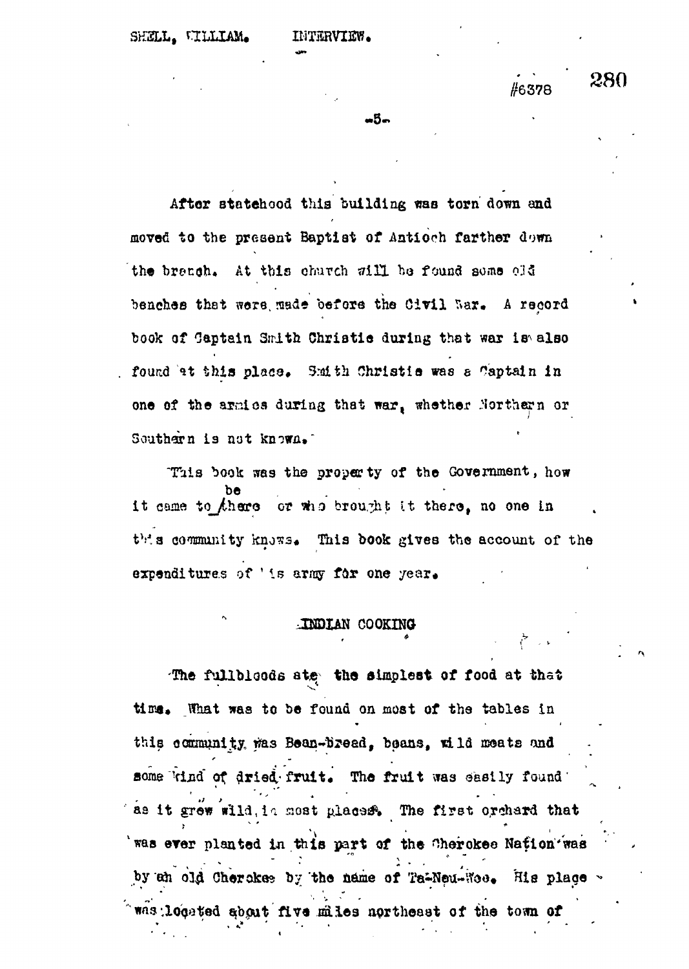## #6378

280

ონო

After statchood this building was torn down and moved to the present Baptist of Antioch farther down the branch. At this church will be found some old benches that were made before the Civil War. A record book of Gaptain Smith Christie during that war is also found at this place. Smith Christie was a Captain in one of the armics during that war, whether Northern or Southern is not known.

This book was the property of the Government, how it came to there or who brought it there, no one in this community knows. This book gives the account of the expenditures of 'is army for one year.

#### INDIAN COOKING

The fullbloods ate the simplest of food at that time. What was to be found on most of the tables in this community was Bean-bread, beans, wild meats and some kind of dried fruit. The fruit was easily found as it grew wild, in most places. The first orchard that was ever planted in this part of the Cherokee Nation was by an old Cherckes by the name of Ta-Neu-Ros. His place . was located about five miles northeast of the town of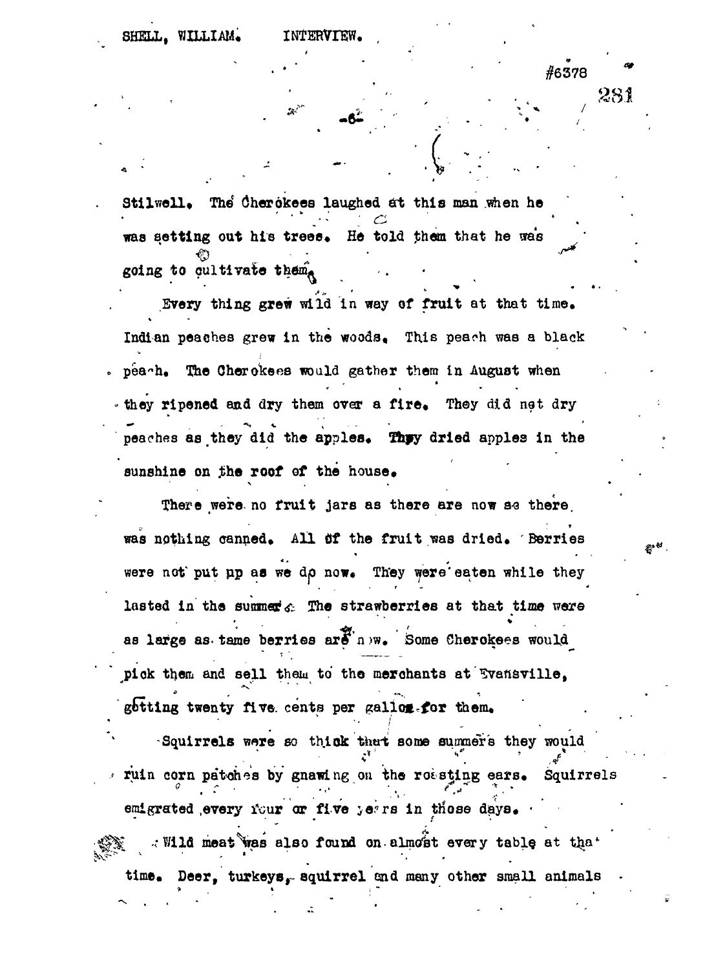281

#6378

Stilwell. The Cherokees laughed at this man when he was setting out his trees. He told them that he was going to oultivate them.

Every thing grew wild in way of fruit at that time. Indian peaches grew in the woods. This peach was a black peach. The Cherokees would gather them in August when they ripened and dry them over a fire. They did not dry peaches as they did the apples. They dried apples in the sunshine on the roof of the house.

There were no fruit jars as there are now se there was nothing canned. All of the fruit was dried. Berries were not put up as we do now. They were eaten while they lasted in the summer  $c$ . The strawberries at that time were as large as tame berries ard now. Some Cherokees would pick them and sell them to the merchants at Evansville, gotting twenty five cents per gallog-for them.

Squirrels were so thick that some summer's they would ruin corn patches by gnawing on the robsting ears. Squirrels emigrated every four or five years in those days. . Wild meat was also found on almost every table at that time. Deer, turkeys, squirrel and many other small animals

彩梦。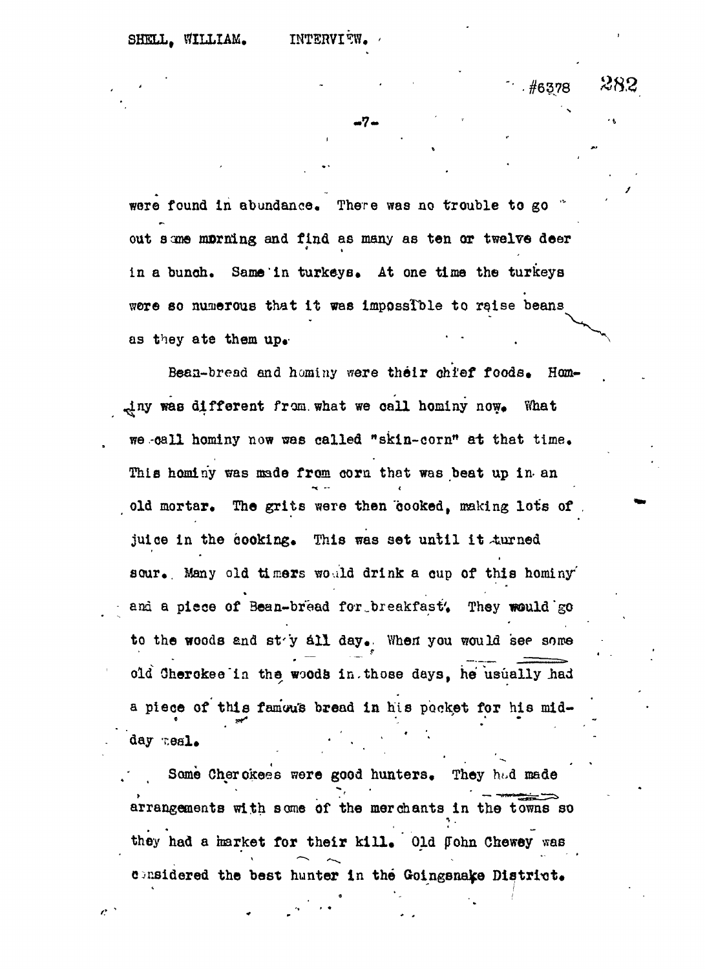$\mathcal{L}$ 

 $.$  #6378

282

 $-7 -$ 

were found in abundance. There was no trouble to go " out some morning and find as many as ten or twelve deer in a bunch. Same in turkeys. At one time the turkeys were so numerous that it was impossible to raise beans were so numerous that in the interest of the source beans in the impossible to raise beans  $\mathcal{L}_\text{max}$ 

Bean-bread and hominy were their chief foods. Hominy was different from what we call hominy now. What we call hominy now was called "skin-corn" at that time. This hominy was made from corn that was beat up in an old mortar. The grits were then cooked, making lots of juice in the cooking. This was set until it turned sour. Many old timers would drink a cup of this hominy and a piece of Bean-bread for breakfast. They would go to the woods and sty all day. When you would see some  $t \geq 0$ old Cherokee in the woods in. those days, he usually had a piece of this famous bread in his pocket for his midday meal.

Some Cherokees were good hunters. They had made arrangements with some of the merchants in the towns so they had a market for their kill. Old John Chewey was considered the best hunter in the Goingsnake District.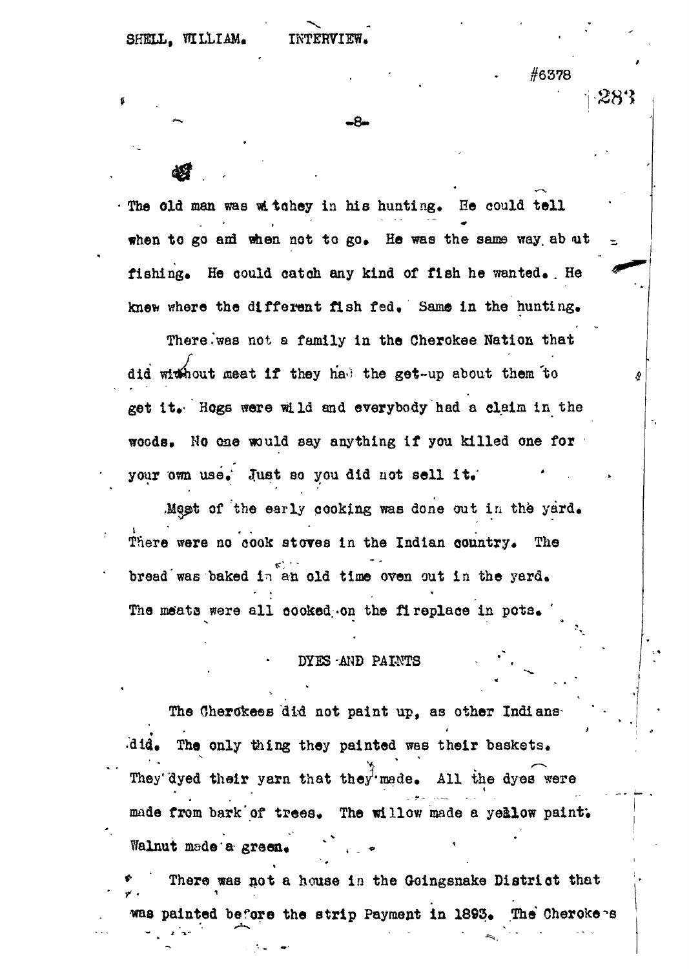#6378

-28'?

The old man was witchey in his hunting. He could tell when to go and when not to go. He was the same way ab ut fishing. He oould oatoh any kind of fish he wanted. . He knew where the different fish fed. Same in the hunting.

-8-

There .'was not a family in the Cherokee Nation that did without meat if they had the get-up about them to get it. ' Hogs were wild and everybody had a claim in the woods. No one would say anything if you killed one for your own use.' Just so you did not sell it.

Most of the early cooking was done out in the yard. There were no cook stoves in the Indian country. The **K" • •** bread"was baked in an old time oven out in the yard. The meats were all cooked-on the fireplace in pots.

#### DYES -AND PAINTS

The Cherokees did not paint up, as other Indians •did. The only thing they painted was their baskets. They'dyed their yarn that they made. All the dyes were made from bark of trees. The willow made a yellow paint. Walnut made a green.

There was not a house in the Goingsnake District that was painted before the strip Payment in 1893. The Cherokees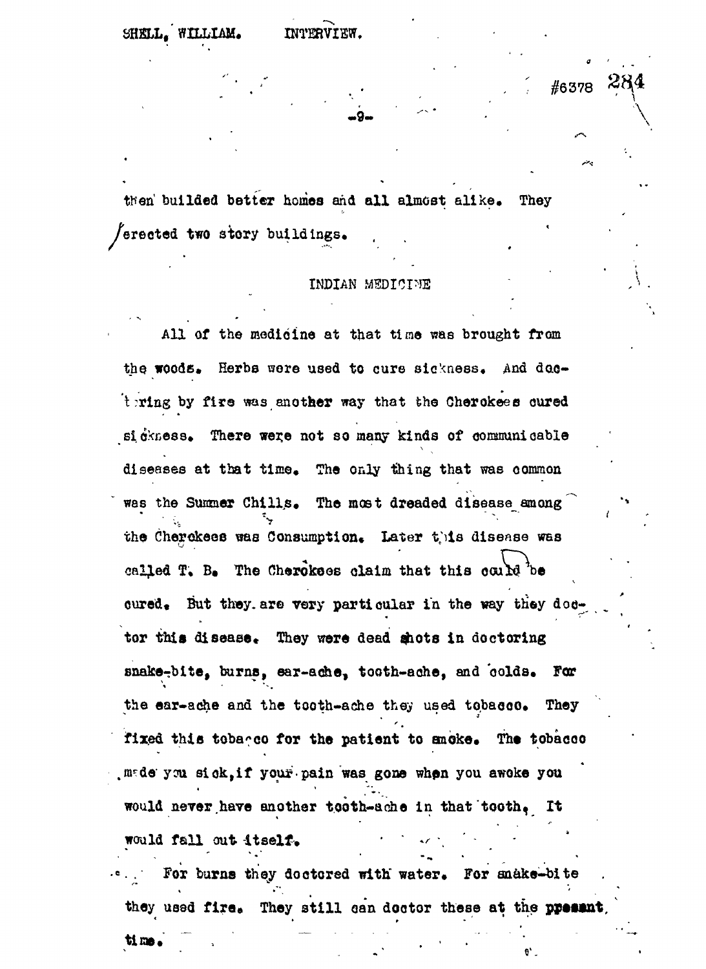#6378

then builded better homes and all almost alike. They erected two stery buildings.

#### INDIAN MEDICINE

All of the medicine at that time was brought from the woods. Herbs were used to cure sickness. And  $d$  actering by fire was another way that the Cherokees cured sidkness. There were not so many kinds of communicable diseases at that time. The only thing that was common was the Summer Chills. The most dreaded disease among the Cherokees was Consumption. Later this disease was called T. B. The Cherokses claim that this could be oured. But they are very particular in the way they doctor this disease. They were dead shots in doctoring snake-bite, burns, ear-ache, tooth-ache, and colds. For the ear-ache and the tooth-ache they used tobacco. They fixed this tobageo for the patient to snoke. The tobacco made you sick, if your pain was gone when you awoke you would never have enother tooth-ache in that tooth. It would fall out itself.

For burns they doctored with water. For snake-bite they used fire. They still can doctor these at the present,

tima.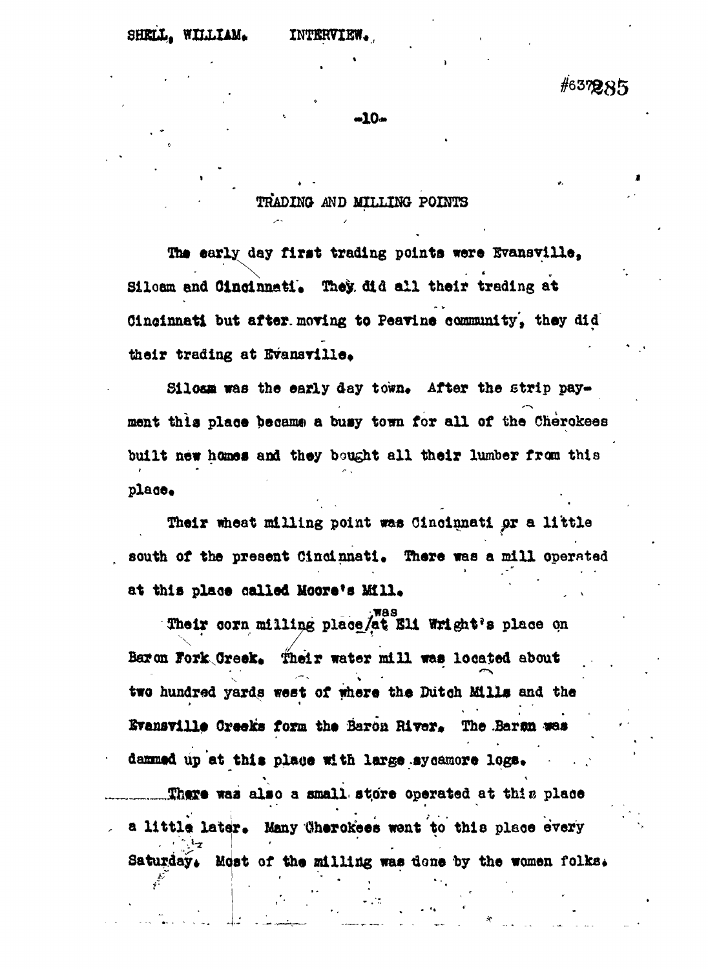#637285

**-10-**

**TRADINa MD MILLING POINTS**

**The early day first trading points wore Bvanavilla,** Siloam and Cincinnati. They. did all their trading at **Cincinnati but after, moving to Peavine community', they did** their trading at Evansville.

Siloan was the early day town. After the strip pay**ment this plaoe became a busy town for all of the Cherokees built new homes and they bought all their lumber from this plaae.**

**Their wheat milling point was Cincinnati pi a little south of the present Cincinnati. There was a mill operated** at this place called Moore's Mill.

**vwas Their corn milling plaoe/at Ell Wright's plaoe on \' y Baron Jorlc Greek, Their water mill was located about** two hundred yards west of where the Dutch Mills and the **two hundred yards west of where the Dutch Mills and the** Evansville Creeks form the Baron River. The Baron was **Srensville Creeks form the Barou Biver\* The Jaran «es** dammed up at this place with large sycamore logs. **daBntd up at this plaoe with large .sycamore logs\*** There was also a small store operated at this place **.\_.™TJi«rt was also a small, st.ore operated at thiu plaoe** a little later. Many Cherokees went to this place every **a little later\* Many Oherokees went to this plaoe every** Saturday. Most of the milling was done by the women folks.

**Saturday\* Most of the milling was tlone by the women folks•**

v • : r \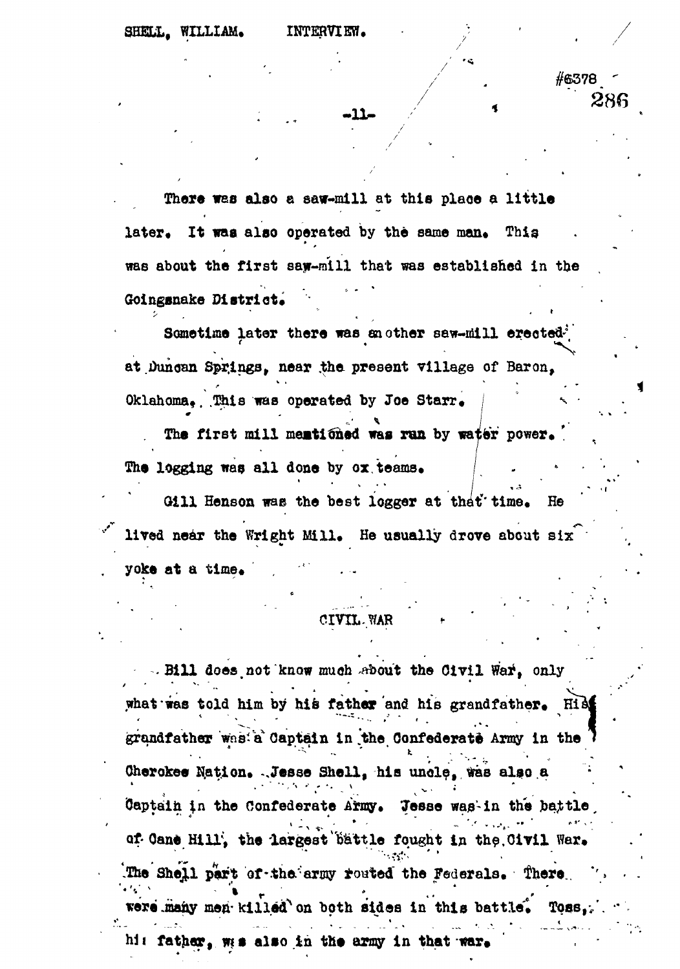-11-

#6378

280

There was also a saw-mill at this place a little later. It was also operated by the same man. This was about the first say-mill that was established in the Goingsnake District.

Sametime later there was another saw-mill erected<sup>3</sup> at Duncan Springs, near the present village of Baron, Oklahoma. This was operated by Joe Starr.

The first mill mentioned was run by water power. The logging was all done by ox teams.

Gill Henson was the best logger at that time. He lived near the Wright Mill. He usually drove about six yoke at a time.

### CIVIL. WAR

. Bill does not know much sbout the Civil War, only what was told him by his father and his grandfather. His grandfather was a Captain in the Confederate Army in the Cherokee Nation. Jesse Shell, his uncle, was also a Captain in the Confederate Army. Tesse was in the battle of Cane Hill, the largest battle fought in the Civil War. The Shell part of the army routed the Federals. There were many men killed on both sides in this battle. Toss, hi: father, wes also in the army in that war.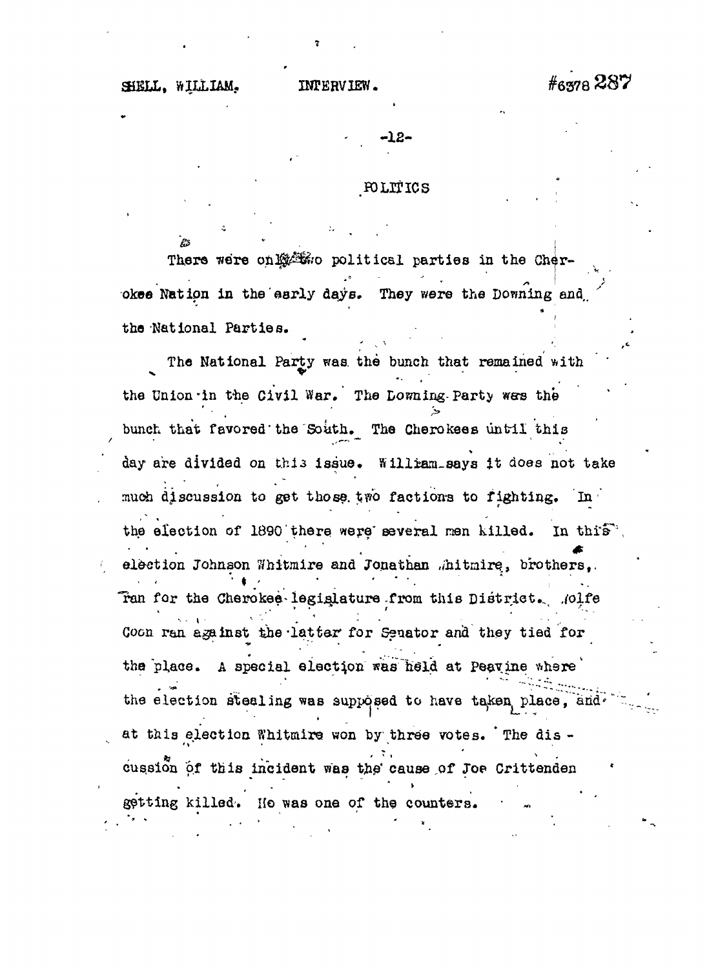#6378 287

 $-12-$ 

#### POLITICS

There were only two political parties in the Cherokee Nation in the early days. They were the Downing and the National Parties.

The National Party was the bunch that remained with the Union in the Civil War. The Lowning Party was the bunch that favored the South. The Cherokees until this day are divided on this issue. Willram says it does not take much discussion to get those two factions to fighting. In the election of 1890 there were several men killed. In this", election Johnson Whitmire and Jonathan "hitmire, brothers,. Tan for the Cherokee legislature from this District. Molfe Coon ran against the latter for Senator and they tied for the place. A special election was held at Peavine where the election stealing was supposed to have taken place, and. at this election Whitmire won by three votes. The discussion of this incident was the cause of Joe Crittenden getting killed. He was one of the counters.